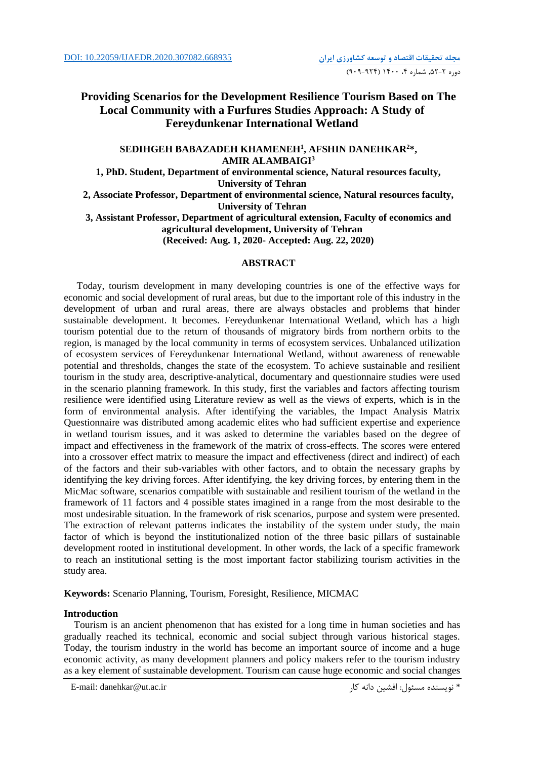# **Providing Scenarios for the Development Resilience Tourism Based on The Local Community with a Furfures Studies Approach: A Study of Fereydunkenar International Wetland**

## **SEDIHGEH BABAZADEH KHAMENEH<sup>1</sup> , AFSHIN DANEHKAR<sup>2</sup>\*, AMIR ALAMBAIGI<sup>3</sup>**

**1, PhD. Student, Department of environmental science, Natural resources faculty, University of Tehran**

**2, Associate Professor, Department of environmental science, Natural resources faculty, University of Tehran**

**3, Assistant Professor, Department of agricultural extension, Faculty of economics and agricultural development, University of Tehran (Received: Aug. 1, 2020- Accepted: Aug. 22, 2020)**

## **ABSTRACT**

Today, tourism development in many developing countries is one of the effective ways for economic and social development of rural areas, but due to the important role of this industry in the development of urban and rural areas, there are always obstacles and problems that hinder sustainable development. It becomes. Fereydunkenar International Wetland, which has a high tourism potential due to the return of thousands of migratory birds from northern orbits to the region, is managed by the local community in terms of ecosystem services. Unbalanced utilization of ecosystem services of Fereydunkenar International Wetland, without awareness of renewable potential and thresholds, changes the state of the ecosystem. To achieve sustainable and resilient tourism in the study area, descriptive-analytical, documentary and questionnaire studies were used in the scenario planning framework. In this study, first the variables and factors affecting tourism resilience were identified using Literature review as well as the views of experts, which is in the form of environmental analysis. After identifying the variables, the Impact Analysis Matrix Questionnaire was distributed among academic elites who had sufficient expertise and experience in wetland tourism issues, and it was asked to determine the variables based on the degree of impact and effectiveness in the framework of the matrix of cross-effects. The scores were entered into a crossover effect matrix to measure the impact and effectiveness (direct and indirect) of each of the factors and their sub-variables with other factors, and to obtain the necessary graphs by identifying the key driving forces. After identifying, the key driving forces, by entering them in the MicMac software, scenarios compatible with sustainable and resilient tourism of the wetland in the framework of 11 factors and 4 possible states imagined in a range from the most desirable to the most undesirable situation. In the framework of risk scenarios, purpose and system were presented. The extraction of relevant patterns indicates the instability of the system under study, the main factor of which is beyond the institutionalized notion of the three basic pillars of sustainable development rooted in institutional development. In other words, the lack of a specific framework to reach an institutional setting is the most important factor stabilizing tourism activities in the study area.

**Keywords:** Scenario Planning, Tourism, Foresight, Resilience, MICMAC

## **Introduction**

 Tourism is an ancient phenomenon that has existed for a long time in human societies and has gradually reached its technical, economic and social subject through various historical stages. Today, the tourism industry in the world has become an important source of income and a huge economic activity, as many development planners and policy makers refer to the tourism industry as a key element of sustainable development. Tourism can cause huge economic and social changes

E-mail: danehkar@ut.ac.ir کار دانه افشین :مسئول نويسنده\*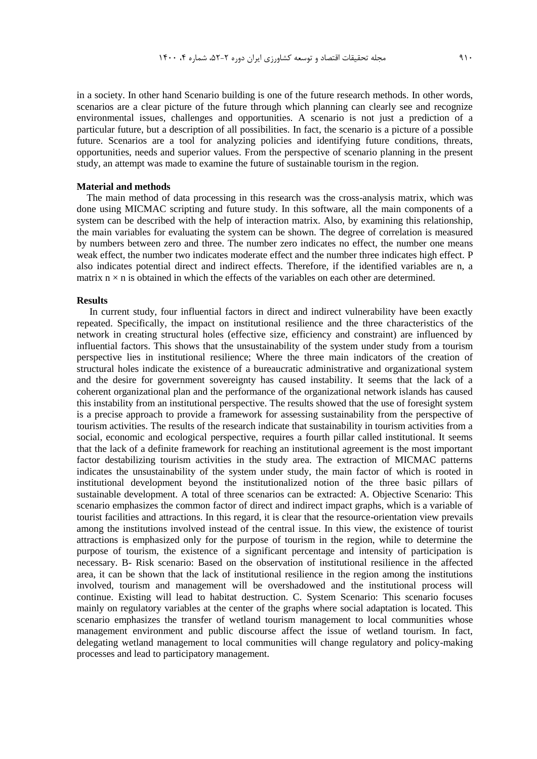in a society. In other hand Scenario building is one of the future research methods. In other words, scenarios are a clear picture of the future through which planning can clearly see and recognize environmental issues, challenges and opportunities. A scenario is not just a prediction of a particular future, but a description of all possibilities. In fact, the scenario is a picture of a possible future. Scenarios are a tool for analyzing policies and identifying future conditions, threats, opportunities, needs and superior values. From the perspective of scenario planning in the present study, an attempt was made to examine the future of sustainable tourism in the region.

### **Material and methods**

 The main method of data processing in this research was the cross-analysis matrix, which was done using MICMAC scripting and future study. In this software, all the main components of a system can be described with the help of interaction matrix. Also, by examining this relationship, the main variables for evaluating the system can be shown. The degree of correlation is measured by numbers between zero and three. The number zero indicates no effect, the number one means weak effect, the number two indicates moderate effect and the number three indicates high effect. P also indicates potential direct and indirect effects. Therefore, if the identified variables are n, a matrix  $n \times n$  is obtained in which the effects of the variables on each other are determined.

### **Results**

In current study, four influential factors in direct and indirect vulnerability have been exactly repeated. Specifically, the impact on institutional resilience and the three characteristics of the network in creating structural holes (effective size, efficiency and constraint) are influenced by influential factors. This shows that the unsustainability of the system under study from a tourism perspective lies in institutional resilience; Where the three main indicators of the creation of structural holes indicate the existence of a bureaucratic administrative and organizational system and the desire for government sovereignty has caused instability. It seems that the lack of a coherent organizational plan and the performance of the organizational network islands has caused this instability from an institutional perspective. The results showed that the use of foresight system is a precise approach to provide a framework for assessing sustainability from the perspective of tourism activities. The results of the research indicate that sustainability in tourism activities from a social, economic and ecological perspective, requires a fourth pillar called institutional. It seems that the lack of a definite framework for reaching an institutional agreement is the most important factor destabilizing tourism activities in the study area. The extraction of MICMAC patterns indicates the unsustainability of the system under study, the main factor of which is rooted in institutional development beyond the institutionalized notion of the three basic pillars of sustainable development. A total of three scenarios can be extracted: A. Objective Scenario: This scenario emphasizes the common factor of direct and indirect impact graphs, which is a variable of tourist facilities and attractions. In this regard, it is clear that the resource-orientation view prevails among the institutions involved instead of the central issue. In this view, the existence of tourist attractions is emphasized only for the purpose of tourism in the region, while to determine the purpose of tourism, the existence of a significant percentage and intensity of participation is necessary. B- Risk scenario: Based on the observation of institutional resilience in the affected area, it can be shown that the lack of institutional resilience in the region among the institutions involved, tourism and management will be overshadowed and the institutional process will continue. Existing will lead to habitat destruction. C. System Scenario: This scenario focuses mainly on regulatory variables at the center of the graphs where social adaptation is located. This scenario emphasizes the transfer of wetland tourism management to local communities whose management environment and public discourse affect the issue of wetland tourism. In fact, delegating wetland management to local communities will change regulatory and policy-making processes and lead to participatory management.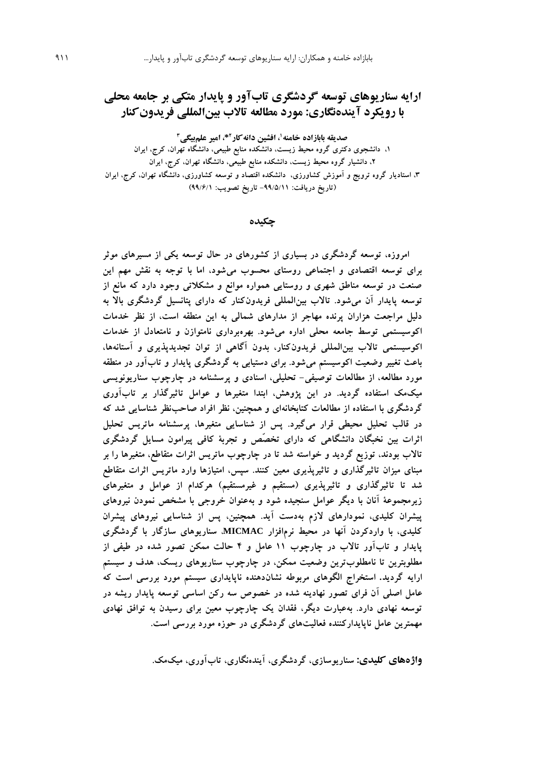# **ارایه سناریوهای توسعه گردشگری تابآور و پایدار متکی بر جامعه محلی با رویکرد آیندهنگاری: مورد مطالعه تاالب بینالمللی فریدونکنار**

**1 صدیقه بابازاده خامنه ، افشین دانهکار \*، امیر علمبیگی <sup>2</sup> 3 ،1 دانشجوی دکتری گروه محیط زیست، دانشکده منابع طبیعی، دانشگاه تهران، کرج، ایران ،2 دانشیار گروه محیط زیست، دانشکده منابع طبیعی، دانشگاه تهران، کرج، ایران ،3 استادیار گروه ترویج و آموزش کشاورزی، دانشکده اقتصاد و توسعه کشاورزی، دانشگاه تهران، کرج، ایران )تاریخ دریافت: -99/5/11 تاریخ تصویب: 99/6/1(**

**چکیده**

**امروزه، توسعه گردشگری در بسیاری از کشورهای در حال توسعه یکی از مسیرهای موثر برای توسعه اقتصادی و اجتماعی روستای محسوب میشود، اما با توجه به نقش مهم این صنعت در توسعه مناطق شهری و روستایی همواره موانع و مشکالتی وجود دارد که مانع از توسعه پایدار آن میشود. تاالب بینالمللی فریدونکنار که دارای پتانسیل گردشگری باال به دلیل مراجعت هزاران پرنده مهاجر از مدارهای شمالی به این منطقه است، از نظر خدمات اکوسیستمی توسط جامعه محلی اداره میشود. بهرهبرداری نامتوازن و نامتعادل از خدمات اکوسیستمی تاالب بینالمللی فریدونکنار، بدون آگاهی از توان تجدیدپذیری و آستانهها، باعث تغییر وضعیت اکوسیستم میشود. برای دستیابی به گردشگری پایدار و تابآور در منطقه مورد مطالعه، از مطالعات توصیفی- تحلیلی، اسنادی و پرسشنامه در چارچوب سناریونویسی میکمک استفاده گردید. در این پژوهش، ابتدا متغیرها و عوامل تاثیرگذار بر تابآوری گردشگری با استفاده از مطالعات کتابخانهای و همچنین، نظر افراد صاحبنظر شناسایی شد که در قالب تحلیل محیطی قرار میگیرد. پس از شناسایی متغیرها، پرسشنامه ماتریس تحلیل اثرات بین نخبگان دانشگاهی که دارای تخصّص و تجربة کافی پیرامون مسایل گردشگری تاالب بودند، توزیع گردید و خواسته شد تا در چارچوب ماتریس اثرات متقاطع، متغیرها را بر مبنای میزان تاثیرگذاری و تاثیرپذیری معین کنند. سپس، امتیازها وارد ماتریس اثرات متقاطع شد تا تاثیرگذاری و تاثیرپذیری )مستقیم و غیرمستقیم( هرکدام از عوامل و متغیرهای زیرمجموعة آنان با دیگر عوامل سنجیده شود و بهعنوان خروجی با مشخص نمودن نیروهای پیشران کلیدی، نمودارهای الزم بهدست آید. همچنین، پس از شناسایی نیروهای پیشران کلیدی، با واردکردن آنها در محیط نرمافزار MICMAC، سناریوهای سازگار با گردشگری پایدار و تابآور تاالب در چارچوب 11 عامل و 4 حالت ممکن تصور شده در طیفی از مطلوبترین تا نامطلوبترین وضعیت ممکن، در چارچوب سناریوهای ریسک، هدف و سیستم ارایه گردید. استخراج الگوهای مربوطه نشاندهنده ناپایداری سیستم مورد بررسی است که عامل اصلی آن فرای تصور نهادینه شده در خصوص سه رکن اساسی توسعه پایدار ریشه در توسعه نهادی دارد. بهعبارت دیگر، فقدان یک چارچوب معین برای رسیدن به توافق نهادی مهمترین عامل ناپایدارکننده فعالیتهای گردشگری در حوزه مورد بررسی است.** 

**واژههای کلیدی: سناریوسازی، گردشگری، آیندهنگاری، تابآوری، میکمک.**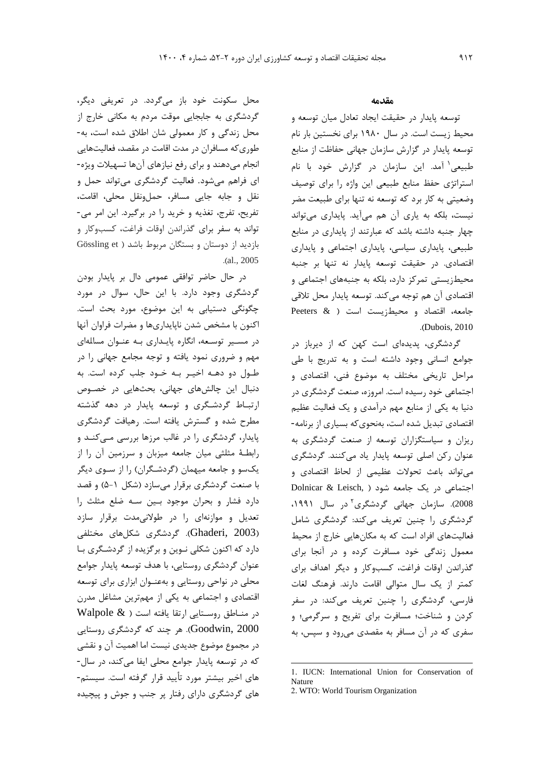محل سکونت خود باز میگردد. در تعريفی ديگر، گردشگري به جابجايی موقت مردم به مکانی خارج از محل زندگی و کار معمولی شان اطالق شده است، به- طوريکه مسافران در مدت اقامت در مقصد، فعالیتهايی انجام میدهند و براي رفع نیازهاي آنها تسهیالت ويژه- اي فراهم میشود. فعالیت گردشگري میتواند حمل و نقل و جابه جايی مسافر، حملونقل محلی، اقامت، تفريح، تفرج، تغذيه و خريد را در برگیرد. اين امر می- تواند به سفر براي گذراندن اوقات فراغت، کسبوکار و بازديد از دوستان و بستگان مربوط باشد ( Gössling et .)al., 2005

در حال حاضر توافقی عمومی دال بر پايدار بودن گردشگري وجود دارد. با اين حال، سوال در مورد چگونگی دستیابی به اين موضوع، مورد بحث است. اکنون با مشخص شدن ناپايداريها و مضرات فراوان آنها در مسـیر توسـعه، انگاره پايـداري بـه عنـوان مسالهاي مهم و ضروري نمود يافته و توجه مجامع جهانی را در طـول دو دهـه اخیـر بـه خـود جلب کرده است. به دنبال اين چالشهاي جهانی، بحثهايی در خصـوص ارتبـاط گردشـگري و توسعه پايدار در دهه گذشته مطرح شده و گسترش يافته است. رهیافت گردشگري پايدار، گردشگري را در غالب مرزها بررسی مـیکنـد و رابطـة مثلثی میان جامعه میزبان و سرزمین آن را از يکسو و جامعه میهمان )گردشـگران( را از سـوي ديگر با صنعت گردشگري برقرار میسازد )شکل 5-1( و قصد دارد فشار و بحران موجود بـین سـه ضلع مثلث را تعديل و موازنهاي را در طوالنیمدت برقرار سازد )2003 ,Ghaderi). گردشگري شکلهاي مختلفی دارد که اکنون شکلی نـوين و برگزيده از گردشـگري بـا عنوان گردشگري روستايی، با هدف توسعه پايدار جوامع محلی در نواحی روستايی و بهعنـوان ابزاري براي توسعه اقتصادي و اجتماعی به يکی از مهمترين مشاغل مدرن  $\text{Walpole }\&\text{ }$  در منـاطق روسـتايي ارتقا يافته است 2000 ,Goodwin). هر چند که گردشگري روستايی در مجموع موضوع جديدي نیست اما اهمیت آن و نقشی که در توسعه پايدار جوامع محلی ايفا میکند، در سال- هاي اخیر بیشتر مورد تأيید قرار گرفته است. سیستم- هاي گردشگري داراي رفتار پر جنب و جوش و پیچیده

### **مقدمه**

توسعه پايدار در حقیقت ايجاد تعادل میان توسعه و محیط زيست است. در سال 1980 براي نخستین بار نام توسعه پايدار در گزارش سازمان جهانی حفاظت از منابع 1 طبیعی آمد. اين سازمان در گزارش خود با نام استراتژي حفظ منابع طبیعی اين واژه را براي توصیف وضعیتی به کار برد که توسعه نه تنها براي طبیعت مضر نیست، بلکه به ياري آن هم میآيد. پايداري میتواند چهار جنبه داشته باشد که عبارتند از پايداري در منابع طبیعی، پايداري سیاسی، پايداري اجتماعی و پايداري اقتصادي. در حقیقت توسعه پايدار نه تنها بر جنبه محیطزيستی تمرکز دارد، بلکه به جنبههاي اجتماعی و اقتصادي آن هم توجه میکند. توسعه پايدار محل تالقی جامعه، اقتصاد و محیطزيست است ) & Peeters .)Dubois, 2010

گردشگري، پديدهاي است کهن که از ديرباز در جوامع انسانی وجود داشته است و به تدريج با طی مراحل تاريخی مختلف به موضوع فنی، اقتصادي و اجتماعی خود رسیده است. امروزه، صنعت گردشگري در دنیا به يکی از منابع مهم درآمدي و يک فعالیت عظیم اقتصادي تبديل شده است، بهنحويکه بسیاري از برنامه- ريزان و سیاستگزاران توسعه از صنعت گردشگري به عنوان رکن اصلی توسعه پايدار ياد میکنند. گردشگري میتواند باعث تحوالت عظیمی از لحاظ اقتصادي و اجتماعی در يک جامعه شود ) ,Leisch & Dolnicar 2008). سازمان جهانی گردشگری<sup>۲</sup>در سال ۱۹۹۱، گردشگري را چنین تعريف میکند: گردشگري شامل فعالیتهاي افراد است که به مکانهايی خارج از محیط معمول زندگی خود مسافرت کرده و در آنجا براي گذراندن اوقات فراغت، کسبوکار و ديگر اهداف براي کمتر از يک سال متوالی اقامت دارند. فرهنگ لغات فارسی، گردشگري را چنین تعريف میکند: در سفر کردن و شناخت؛ مسافرت براي تفريح و سرگرمی؛ و سفري که در آن مسافر به مقصدي میرود و سپس، به

 $\overline{a}$ 

<sup>1.</sup> IUCN: International Union for Conservation of Nature

<sup>2.</sup> WTO: World Tourism Organization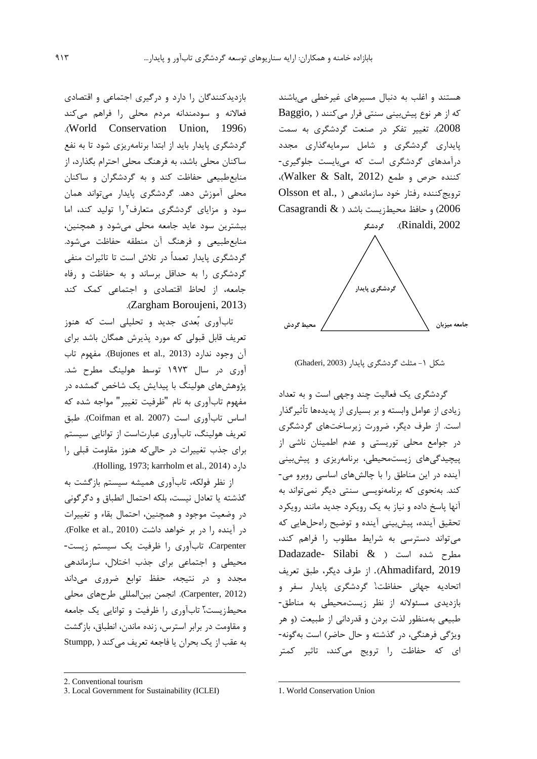هستند و اغلب به دنبال مسیرهاي غیرخطی میباشند که از هر نوع پیشبینی سنتی فرار میکنند ) ,Baggio 2008(. تغییر تفکر در صنعت گردشگري به سمت پايداري گردشگري و شامل سرمايهگذاري مجدد درآمدهاي گردشگري است که میبايست جلوگیري- کننده حرص و طمع )2012 ,Salt & Walker)، ترويج کننده رفتار خود سازماندهی ( .Olsson et al Casagrandi  $\&$  ) و حافظ محیطزیست باشد ( $\&$  ) .)Rinaldi, 2002 **گردشگر**



شکل ۱- مثلث گردشگري پايدار (Ghaderi, 2003)

گردشگري يک فعالیت چند وجهی است و به تعداد زيادي از عوامل وابسته و بر بسیاري از پديدهها تأثیرگذار است. از طرف ديگر، ضرورت زيرساختهاي گردشگري در جوامع محلی توريستی و عدم اطمینان ناشی از پیچیدگیهاي زيستمحیطی، برنامهريزي و پیشبینی آينده در اين مناطق را با چالشهاي اساسی روبرو می- کند. بهنحوي که برنامهنويسی سنتی ديگر نمیتواند به آنها پاسخ داده و نیاز به يک رويکرد جديد مانند رويکرد تحقیق آينده، پیشبینی آينده و توضیح راهحلهايی که میتواند دسترسی به شرايط مطلوب را فراهم کند، مطرح شده است ) & Silabi -Dadazade 2019 ,Ahmadifard). از طرف ديگر، طبق تعريف <sup>1</sup> اتحاديه جهانی حفاظت ، گردشگري پايدار سفر و بازديدي مسئوالنه از نظر زيستمحیطی به مناطق- طبیعی بهمنظور لذت بردن و قدردانی از طبیعت )و هر ويژگی فرهنگی، در گذشته و حال حاضر( است بهگونه- اي که حفاظت را ترويج میکند، تاثیر کمتر

بازديدکنندگان را دارد و درگیري اجتماعی و اقتصادي فعاالنه و سودمندانه مردم محلی را فراهم میکند .(World Conservation Union, 1996). گردشگري پايدار بايد از ابتدا برنامهريزي شود تا به نفع ساکنان محلی باشد، به فرهنگ محلی احترام بگذارد، از منابعطبیعی حفاظت کند و به گردشگران و ساکنان محلی آموزش دهد. گردشگري پايدار میتواند همان سود و مزايای گردشگری متعارف<sup>۲</sup>را توليد کند، اما بیشترين سود عايد جامعه محلی میشود و همچنین، منابعطبیعی و فرهنگ آن منطقه حفاظت میشود. گردشگري پايدار تعمداً در تالش است تا تاثیرات منفی گردشگري را به حداقل برساند و به حفاظت و رفاه جامعه، از لحاظ اقتصادي و اجتماعی کمک کند .(Zargham Boroujeni, 2013)

تابآوري بٌعدي جديد و تحلیلی است که هنوز تعريف قابل قبولی که مورد پذيرش همگان باشد براي آن وجود ندارد )2013 .,al et Bujones). مفهوم تاب آوري در سال 1973 توسط هولینگ مطرح شد. پژوهشهاي هولینگ با پیدايش يک شاخص گمشده در مفهوم تابآوري به نام "ظرفیت تغییر" مواجه شده که اساس تابآوري است (Coifman et al. 2007). طبق تعريف هولینگ، تابآوري عبارتاست از توانايی سیستم براي جذب تغییرات در حالیکه هنوز مقاومت قبلی را .)Holling, 1973; karrholm et al., 2014( دارد

از نظر فولکه، تابآوري همیشه سیستم بازگشت به گذشته يا تعادل نیست، بلکه احتمال انطباق و دگرگونی در وضعیت موجود و همچنین، احتمال بقاء و تغییرات در آينده را در بر خواهد داشت (Folke et al., 2010). Carpenter، تابآوري را ظرفیت يک سیستم زيست- محیطی و اجتماعی براي جذب اختالل، سازماندهی مجدد و در نتیجه، حفظ توابع ضروري میداند )2012 ,Carpenter). انجمن بینالمللی طرحهاي محلی <sup>3</sup> محیطزيست ، تابآوري را ظرفیت و توانايی يک جامعه و مقاومت در برابر استرس، زنده ماندن، انطباق، بازگشت به عقب از يک بحران يا فاجعه تعريف می کند ( Stumpp,

 $\overline{a}$ 

1. World Conservation Union

-

<sup>2.</sup> Conventional tourism

<sup>3.</sup> Local Government for Sustainability (ICLEI)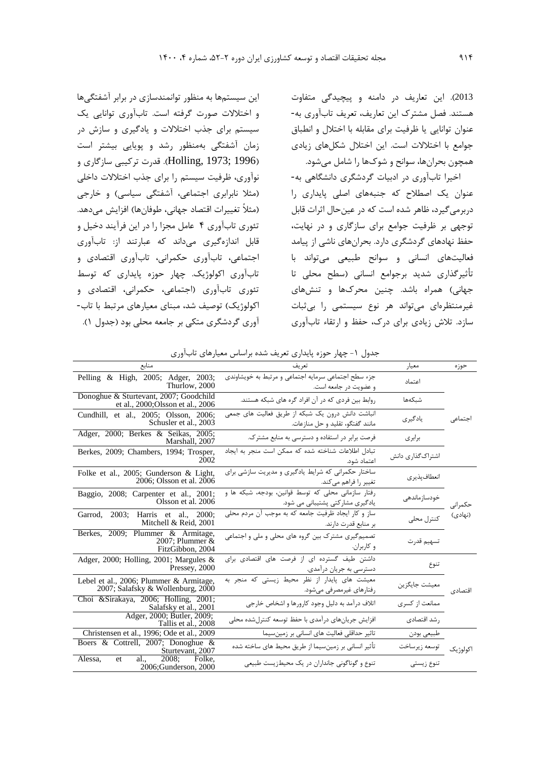اين سیستمها به منظور توانمندسازي در برابر آشفتگیها و اختالالت صورت گرفته است. تابآوري توانايی يک سیستم براي جذب اختالالت و يادگیري و سازش در زمان آشفتگی بهمنظور رشد و پويايی بیشتر است )1996 ;1973 ,Holling). قدرت ترکیبی سازگاري و نوآوري، ظرفیت سیستم را براي جذب اختالالت داخلی )مثال نابرابري اجتماعی، آشفتگی سیاسی( و خارجی (مثلاً تغییرات اقتصاد جهانی، طوفانها) افزایش میدهد. تئوري تابآوري 4 عامل مجزا را در اين فرآيند دخیل و قابل اندازهگیري میداند که عبارتند از: تابآوري اجتماعی، تابآوري حکمرانی، تابآوري اقتصادي و تابآوري اکولوژيک. چهار حوزه پايداري که توسط تئوري تابآوري )اجتماعی، حکمرانی، اقتصادي و اکولوژيک) توصيف شد، مبناي معيارهاي مرتبط با تاب-آوري گردشگري متکی بر جامعه محلی بود )جدول 1(.

2013(. اين تعاريف در دامنه و پیچیدگی متفاوت هستند. فصل مشترك اين تعاريف، تعريف تابآوري به- عنوان توانايی يا ظرفیت براي مقابله با اختالل و انطباق جوامع با اختالالت است. اين اختالل شکلهاي زيادي همچون بحرانها، سوانح و شوكها را شامل میشود.

اخیرا تابآوري در ادبیات گردشگري دانشگاهی به- عنوان يک اصطالح که جنبههاي اصلی پايداري را دربرمیگیرد، ظاهر شده است که در عینحال اثرات قابل توجهی بر ظرفیت جوامع براي سازگاري و در نهايت، حفظ نهادهاي گردشگري دارد. بحرانهاي ناشی از پیامد فعالیتهاي انسانی و سوانح طبیعی میتواند با تأثیرگذاري شديد برجوامع انسانی )سطح محلی تا جهانی) همراه باشد. چنین محركها و تنشهای غیرمنتظرهاي میتواند هر نوع سیستمی را بیثبات سازد. تالش زيادي براي درك، حفظ و ارتقاء تابآوري

| منابع                                                                        | تعريف                                                                                   | معيار                    | حوزه     |  |  |  |  |
|------------------------------------------------------------------------------|-----------------------------------------------------------------------------------------|--------------------------|----------|--|--|--|--|
| Pelling & High, 2005; Adger, 2003;<br>Thurlow, 2000                          | جزء سطح اجتماعی سرمایه اجتماعی و مرتبط به خویشاوندی<br>و عضویت در جامعه است.            | اعتماد                   |          |  |  |  |  |
| Donoghue & Sturtevant, 2007; Goodchild<br>et al., 2000; Olsson et al., 2006  | روابط بین فردی که در آن افراد گره های شبکه هستند.                                       | شبكهها                   |          |  |  |  |  |
| Cundhill, et al., 2005; Olsson, 2006;<br>Schusler et al., 2003               | انباشت دانش درون یک شبکه از طریق فعالیت های جمعی<br>مانند گفتگو، تقلید و حل منازعات.    | یادگیری                  | اجتماعى  |  |  |  |  |
| Adger, 2000; Berkes & Seikas, 2005;<br>Marshall, 2007                        | فرصت برابر در استفاده و دسترسی به منابع مشترک.                                          | برابرى                   |          |  |  |  |  |
| Berkes, 2009; Chambers, 1994; Trosper,<br>2002                               | تبادل اطلاعات شناخته شده كه ممكن است منجر به ايجاد<br>اعتماد شود.                       | اشتراک گذاری دانش        |          |  |  |  |  |
| Folke et al., 2005; Gunderson & Light,<br>2006; Olsson et al. 2006           | ساختار حکمرانی که شرایط یادگیری و مدیریت سازشی برای<br>تغییر را فراهم میکند.            | انعطاف پذيري             |          |  |  |  |  |
| Baggio, 2008; Carpenter et al., 2001;<br>Olsson et al. 2006                  | رفتار سازمانی محلی که توسط قوانین، بودجه، شبکه ها و<br>یادگیری مشارکتی پشتیبانی می شود. | خودسازماندهى             | حكمراني  |  |  |  |  |
| Garrod, 2003; Harris et al., 2000;<br>Mitchell & Reid, 2001                  | ساز و کار ایجاد ظرفیت جامعه که به موجب آن مردم محلی<br>بر منابع قدرت دارند.             | كنترل محلى               | (نهادی)  |  |  |  |  |
| Berkes, 2009; Plummer & Armitage,<br>2007; Plummer $&$<br>FitzGibbon, 2004   | تصمیم گیری مشترک بین گروه های محلی و ملی و اجتماعی<br>و کاربران.                        | تسهيم قدرت               |          |  |  |  |  |
| Adger, 2000; Holling, 2001; Margules $\&$<br>Pressey, 2000                   | داشتن طیف گسترده ای از فرصت های اقتصادی برای<br>دسترسی به جریان درآمدی.                 | تنوع                     |          |  |  |  |  |
| Lebel et al., 2006; Plummer & Armitage,<br>2007; Salafsky & Wollenburg, 2000 | معیشت های پایدار از نظر محیط زیستی که منجر به<br>رفتارهای غیرمصرفی میشود.               | معیشت جایگزین<br>اقتصادی |          |  |  |  |  |
| Choi & Sirakaya, 2006; Holling, 2001;<br>Salafsky et al., 2001               | اتلاف درآمد به دلیل وجود کارورها و اشخاص خارجی                                          | ممانعت از کسری           |          |  |  |  |  |
| Adger, 2000; Butler, 2009;<br>Tallis et al., 2008                            | افزایش جریانهای درآمدی با حفظ توسعه کنترلشده محلی                                       | , شد اقتصادی             |          |  |  |  |  |
| Christensen et al., 1996; Ode et al., 2009                                   | تاثیر حداقلی فعالیت های انسانی بر زمینسیما                                              | طبيعي بودن               |          |  |  |  |  |
| Boers & Cottrell, 2007; Donoghue &<br>Sturtevant, 2007                       | تأثیر انسانی بر زمینسیما از طریق محیط های ساخته شده                                     | توسعه زيرساخت            | اكولوژيک |  |  |  |  |
| al., $2008$ ;<br>Alessa,<br>Folke.<br>et<br>2006;Gunderson, 2000             | تنوع و گوناگونی جانداران در یک محیطزیست طبیعی                                           | تنوع زيستى               |          |  |  |  |  |

جدول ١- چهار حوزه پايداري تعريف شده براساس معيارهاي تابآوري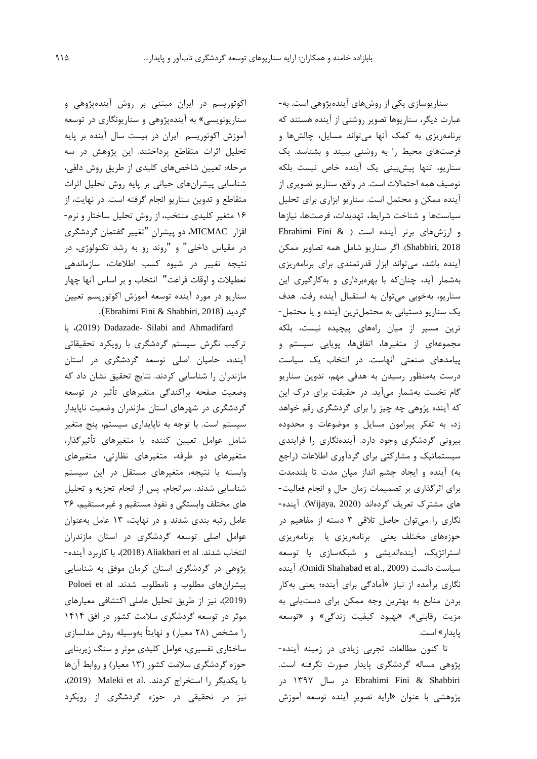اکوتوريسم در ايران مبتنی بر روش آيندهپژوهی و سناريونويسی« به آيندهپژوهی و سناريونگاري در توسعه آموزش اکوتوريسم ايران در بیست سال آينده بر پايه تحلیل اثرات متقاطع پرداختند. اين پژوهش در سه مرحله: تعیین شاخصهاي کلیدي از طريق روش دلفی، شناسايی پیشرانهاي حیاتی بر پايه روش تحلیل اثرات متقاطع و تدوين سناريو انجام گرفته است. در نهايت، از 1۶ متغیر کلیدي منتخب، از روش تحلیل ساختار و نرم- افزار MICMAC، دو پیشران "تغییر گفتمان گردشگري در مقیاس داخلی" و "روند رو به رشد تکنولوژي، در نتیجه تغییر در شیوه کسب اطالعات، سازماندهی تعطیالت و اوقات فراغت" انتخاب و بر اساس آنها چهار سناريو در مورد آينده توسعه آموزش اکوتوريسم تعیین .)Ebrahimi Fini & Shabbiri, <sup>2018</sup>( گرديد

 با ،(2019 )Dadazade- Silabi and Ahmadifard ترکیب نگرش سیستم گردشگري با رويکرد تحقیقاتی آينده، حامیان اصلی توسعه گردشگري در استان مازندران را شناسايی کردند. نتايج تحقیق نشان داد که وضعیت صفحه پراکندگی متغیرهاي تأثیر در توسعه گردشگري در شهرهاي استان مازندران وضعیت ناپايدار سیستم است. با توجه به ناپايداري سیستم، پنج متغیر شامل عوامل تعیین کننده يا متغیرهاي تأثیرگذار، متغیرهاي دو طرفه، متغیرهاي نظارتی، متغیرهاي وابسته يا نتیجه، متغیرهاي مستقل در اين سیستم شناسايی شدند. سرانجام، پس از انجام تجزيه و تحلیل هاي مختلف وابستگی و نفوذ مستقیم و غیرمستقیم، 3۶ عامل رتبه بندي شدند و در نهايت، 13 عامل بهعنوان عوامل اصلی توسعه گردشگري در استان مازندران انتخاب شدند. al et Aliakbari( <sup>2018</sup>)، با کاربرد آينده- پژوهی در گردشگري استان کرمان موفق به شناسايی پیشرانهای مطلوب و نامطلوب شدند. Poloei et al )2019(، نیز از طريق تحلیل عاملی اکتشافی معیارهاي موثر در توسعه گردشگري سالمت کشور در افق 1414 را مشخص )28 معیار( و نهايتاً بهوسیله روش مدلسازي ساختاري تفسیري، عوامل کلیدي موثر و سنگ زيربنايی حوزه گردشگري سالمت کشور )13 معیار( و روابط آنها با يکديگر را استخراج کردند. .Maleki et al (2019)، نیز در تحقیقی در حوزه گردشگري از رويکرد

سناريوسازي يکی از روشهاي آيندهپژوهی است. به- عبارت ديگر، سناريوها تصوير روشنی از آينده هستند که برنامهريزي به کمک آنها میتواند مسايل، چالشها و فرصتهاي محیط را به روشنی ببیند و بشناسد. يک سناريو، تنها پیشبینی يک آينده خاص نیست بلکه توصیف همه احتماالت است. در واقع، سناريو تصويري از آينده ممکن و محتمل است. سناريو ابزاري براي تحلیل سیاستها و شناخت شرايط، تهديدات، فرصتها، نیازها و ارزشهاي برتر آينده است ) & Fini Ebrahimi 2018 ,Shabbiri). اگر سناريو شامل همه تصاوير ممکن آينده باشد، میتواند ابزار قدرتمندي براي برنامهريزي بهشمار آيد، چنانکه با بهرهبرداري و بهکارگیري اين سناريو، بهخوبی میتوان به استقبال آينده رفت. هدف يک سناريو دستیابی به محتملترين آينده و يا محتمل- ترين مسیر از میان راههاي پیچیده نیست، بلکه مجموعهاي از متغیرها، اتفاقها، پويايی سیستم و پیامدهاي صنعتی آنهاست. در انتخاب يک سیاست درست بهمنظور رسیدن به هدفی مهم، تدوين سناريو گام نخست بهشمار میآيد. در حقیقت براي درك اين که آينده پژوهی چه چیز را براي گردشگري رقم خواهد زد، به تفکر پیرامون مسايل و موضوعات و محدوده بیرونی گردشگري وجود دارد. آيندهنگاري را فرايندي سیستماتیک و مشارکتی براي گردآوري اطالعات )راجع به) آينده و ايجاد چشم انداز ميان مدت تا بلندمدت براي اثرگذاري بر تصمیمات زمان حال و انجام فعالیت- هاي مشترك تعريف کردهاند )2020 ,Wijaya). آينده- نگاري را میتوان حاصل تالقی 3 دسته از مفاهیم در حوزههاي مختلف يعنی برنامهريزي يا برنامهريزي استراتژيک، آيندهانديشی و شبکهسازي يا توسعه آينده .(Omidi Shahabad et al., 2009( دانست سیاست نگاري برآمده از نیاز »آمادگی براي آينده؛ يعنی بهکار بردن منابع به بهترين وجه ممکن براي دستيابی به مزيت رقابتي»، «بهبود كيفيت زندگي» و «توسعه پايدار« است.

تا کنون مطالعات تجربی زيادي در زمینه آينده- پژوهی مساله گردشگري پايدار صورت نگرفته است. Shabbiri & Fini Ebrahimi در سال 1397 در پژوهشی با عنوان »ارايه تصوير آينده توسعه آموزش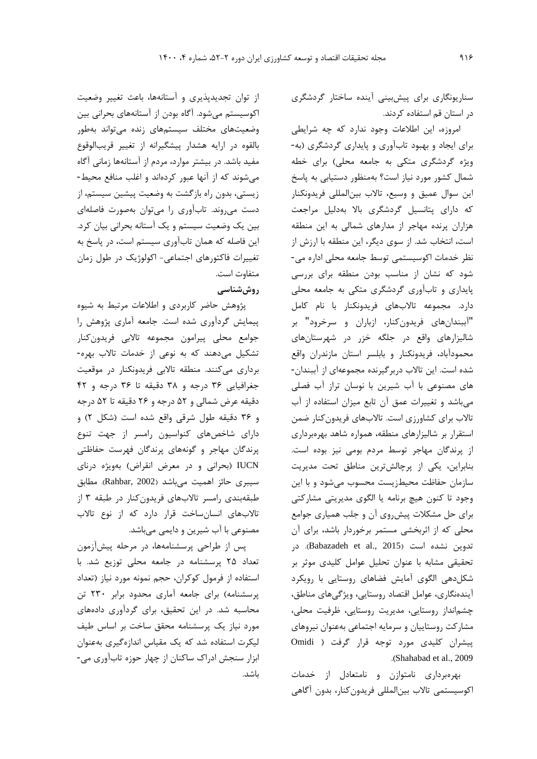سناريونگاري براي پیشبینی آينده ساختار گردشگري در استان قم استفاده کردند.

امروزه، اين اطالعات وجود ندارد که چه شرايطی براي ايجاد و بهبود تابآوري و پايداري گردشگري )به- ويژه گردشگرى متكى به جامعه محلى) براى خطه شمال کشور مورد نیاز است؟ بهمنظور دستیابی به پاسخ اين سوال عمیق و وسیع، تاالب بینالمللی فريدونکنار که داراي پتانسیل گردشگري باال بهدلیل مراجعت هزاران پرنده مهاجر از مدارهاي شمالی به اين منطقه است، انتخاب شد. از سوي ديگر، اين منطقه با ارزش از نظر خدمات اکوسیستمی توسط جامعه محلی اداره می- شود که نشان از مناسب بودن منطقه براي بررسی پايداري و تابآوري گردشگري متکی به جامعه محلی دارد. مجموعه تاالبهاي فريدونکنار با نام کامل "آببندانهاي فريدونکنار، ازباران و سرخرود" بر شالیزارهاي واقع در جلگه خزر در شهرستانهاي محمودآباد، فريدونکنار و بابلسر استان مازندران واقع شده است. اين تاالب دربرگیرنده مجموعهاي از آببندان- هاي مصنوعی با آب شیرين با نوسان تراز آب فصلی میباشد و تغییرات عمق آن تابع میزان استفاده از آب تاالب براي کشاورزي است. تاالبهاي فريدونکنار ضمن استقرار بر شالیزارهاي منطقه، همواره شاهد بهرهبرداري از پرندگان مهاجر توسط مردم بومی نیز بوده است. بنابراين، يکی از پرچالشترين مناطق تحت مديريت سازمان حفاظت محیطزيست محسوب میشود و با اين وجود تا کنون هیچ برنامه يا الگوي مديريتی مشارکتی براي حل مشکالت پیشروي آن و جلب همیاري جوامع محلی که از اثربخشی مستمر برخوردار باشد، براي آن تدوين نشده است (Babazadeh et al., 2015). در تحقیقی مشابه با عنوان تحلیل عوامل کلیدي موثر بر شکلدهی الگوي آمايش فضاهاي روستايی با رويکرد آيندهنگاري، عوامل اقتصاد روستايی، ويژگیهاي مناطق، چشمانداز روستايی، مديريت روستايی، ظرفیت محلی، مشارکت روستايیان و سرمايه اجتماعی بهعنوان نیروهاي پیشران کلیدي مورد توجه قرار گرفت ) Omidi .)Shahabad et al., 2009

بهرهبرداري نامتوازن و نامتعادل از خدمات اکوسیستمی تاالب بینالمللی فريدونکنار، بدون آگاهی

از توان تجديدپذيري و آستانهها، باعث تغییر وضعیت اکوسیستم میشود. آگاه بودن از آستانههاي بحرانی بین وضعیتهاي مختلف سیستمهاي زنده میتواند بهطور بالقوه در ارايه هشدار پیشگیرانه از تغییر قريبالوقوع مفید باشد. در بیشتر موارد، مردم از آستانهها زمانی آگاه میشوند که از آنها عبور کردهاند و اغلب منافع محیط- زيستی، بدون راه بازگشت به وضعیت پیشین سیستم، از دست میروند. تابآوري را میتوان بهصورت فاصلهاي بین يک وضعیت سیستم و يک آستانه بحرانی بیان کرد. اين فاصله که همان تابآوري سیستم است، در پاسخ به تغییرات فاکتورهاي اجتماعی- اکولوژيک در طول زمان متفاوت است. **روششناسی**

پژوهش حاضر کاربردي و اطالعات مرتبط به شیوه پیمايش گردآوري شده است. جامعه آماري پژوهش را جوامع محلی پیرامون مجموعه تاالبی فريدونکنار تشکیل میدهند که به نوعی از خدمات تاالب بهره- برداري میکنند. منطقه تاالبی فريدونکنار در موقعیت جغرافیايی 3۶ درجه و 38 دقیقه تا 3۶ درجه و 42 دقیقه عرض شمالی و 52 درجه و 2۶ دقیقه تا 52 درجه و ۳۶ دقیقه طول شرقی واقع شده است (شکل ۲) و داراي شاخصهاي کنواسیون رامسر از جهت تنوع پرندگان مهاجر و گونههاي پرندگان فهرست حفاظتی IUCN( بحرانی و در معرض انقراض( بهويژه درناي سیبري حائز اهمیت میباشد )2002 ,Rahbar). مطابق طبقهبندي رامسر تاالبهاي فريدونکنار در طبقه 3 از تاالبهاي انسانساخت قرار دارد که از نوع تاالب مصنوعی با آب شیرين و دايمی میباشد.

پس از طراحی پرسشنامهها، در مرحله پیشآزمون تعداد 25 پرسشنامه در جامعه محلی توزيع شد. با استفاده از فرمول کوکران، حجم نمونه مورد نیاز )تعداد پرسشنامه) براي جامعه آماري محدود برابر ٢٣٠ تن محاسبه شد. در اين تحقیق، براي گردآوري دادههاي مورد نیاز يک پرسشنامه محقق ساخت بر اساس طیف لیکرت استفاده شد که يک مقیاس اندازهگیري بهعنوان ابزار سنجش ادراك ساکنان از چهار حوزه تابآوري می- باشد.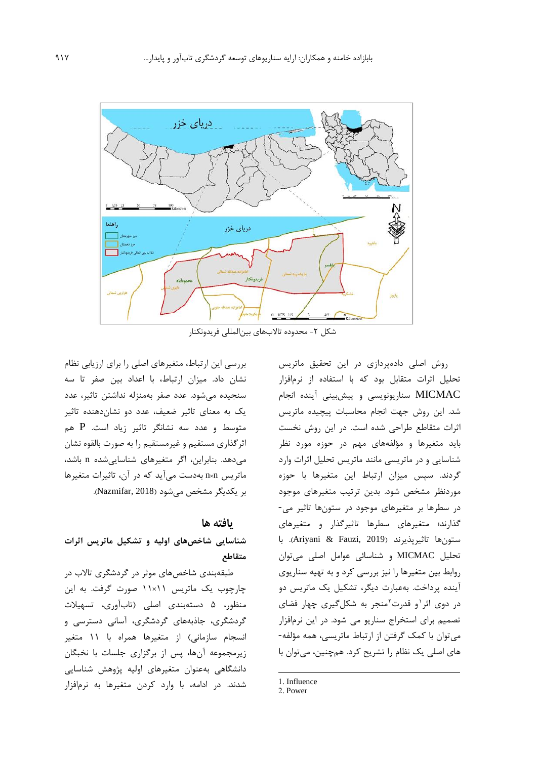

شکل ۲– محدوده تالابهای بین|لمللی فریدونکنار

روش اصلی دادهپردازي در اين تحقیق ماتريس تحلیل اثرات متقابل بود که با استفاده از نرمافزار MICMAC سناريونويسی و پیشبینی آينده انجام شد. اين روش جهت انجام محاسبات پیچیده ماتريس اثرات متقاطع طراحی شده است. در اين روش نخست بايد متغیرها و مؤلفههاي مهم در حوزه مورد نظر شناسايی و در ماتريسی مانند ماتريس تحلیل اثرات وارد گردند. سپس میزان ارتباط اين متغیرها با حوزه موردنظر مشخص شود. بدين ترتیب متغیرهاي موجود در سطرها بر متغیرهاي موجود در ستونها تاثیر می- گذارند؛ متغیرهاي سطرها تاثیرگذار و متغیرهاي ستونها تاثیرپذيرند )2019 ,Fauzi & Ariyani). با تحلیل MICMAC و شناسائی عوامل اصلی میتوان روابط بین متغیرها را نیز بررسی کرد و به تهیه سناريوي آينده پرداخت. بهعبارت ديگر، تشکیل يک ماتريس دو در دوی اثر<sup>۱</sup>و قدرت<sup>۲</sup>منجر به شکلگیری چهار فضای تصمیم براي استخراج سناريو می شود. در اين نرمافزار میتوان با کمک گرفتن از ارتباط ماتريسی، همه مؤلفه- هاي اصلی يک نظام را تشريح کرد. همچنین، میتوان با

بررسی اين ارتباط، متغیرهاي اصلی را براي ارزيابی نظام نشان داد. میزان ارتباط، با اعداد بین صفر تا سه سنجیده میشود. عدد صفر بهمنزله نداشتن تاثیر، عدد يک به معناي تاثیر ضعیف، عدد دو نشاندهنده تاثیر متوسط و عدد سه نشانگر تاثیر زياد است. P هم اثرگذاري مستقیم و غیرمستقیم را به صورت بالقوه نشان میدهد. بنابراين، اگر متغیرهاي شناسايیشده n باشد، ماتريس n×n بهدست میآيد که در آن، تاثیرات متغیرها بر يکديگر مشخص میشود )2018 ,Nazmifar).

# **یافته ها**

**شناسايی شاخصهاي اوليه و تشکيل ماتريس اثرات متقاطع**

طبقهبندي شاخصهاي موثر در گردشگري تاالب در چارچوب يک ماتريس 11×11 صورت گرفت. به اين منظور، 5 دستهبندي اصلی )تابآوري، تسهیالت گردشگري، جاذبههاي گردشگري، آسانی دسترسی و انسجام سازمانی) از متغیرها همراه با ۱۱ متغیر زيرمجموعه آنها، پس از برگزاري جلسات با نخبگان دانشگاهی بهعنوان متغیرهاي اولیه پژوهش شناسايی شدند. در ادامه، با وارد کردن متغیرها به نرمافزار

1

<sup>1.</sup> Influence

<sup>2.</sup> Power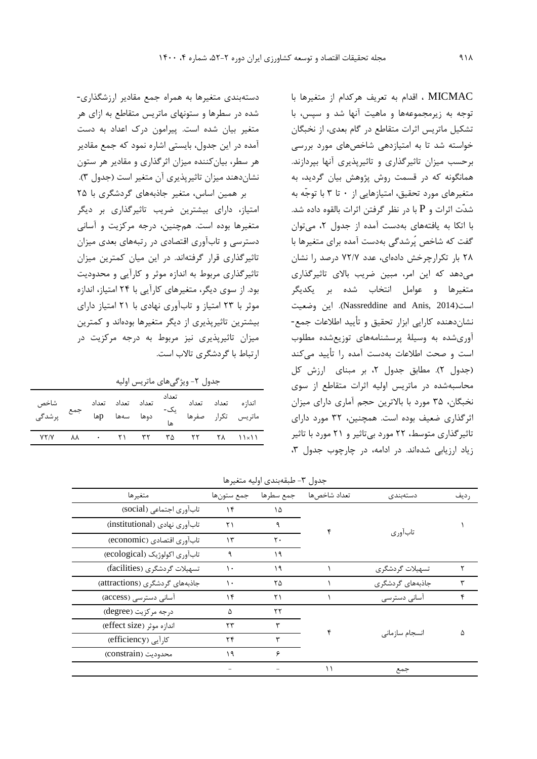MICMAC ، اقدام به تعريف هرکدام از متغیرها با توجه به زيرمجموعهها و ماهیت آنها شد و سپس، با تشکیل ماتريس اثرات متقاطع در گام بعدي، از نخبگان خواسته شد تا به امتیازدهی شاخصهاي مورد بررسی برحسب میزان تاثیرگذاري و تاثیرپذيري آنها بپردازند. همانگونه که در قسمت روش پژوهش بیان گرديد، به متغیرهاي مورد تحقیق، امتیازهايی از 0 تا 3 با توجّه به شدّت اثرات و P با در نظر گرفتن اثرات بالقوه داده شد. با اتکا به يافتههاي بهدست آمده از جدول ،2 میتوان گفت که شاخص پُرشدگی بهدست آمده براي متغیرها با 28 بار تکرارچرخش دادهاي، عدد 72/7 درصد را نشان میدهد که اين امر، مبین ضريب باالي تاثیرگذاري متغیرها و عوامل انتخاب شده بر يکديگر است)2014 ,Anis and Nassreddine). اين وضعیت نشاندهنده کارايی ابزار تحقیق و تأيید اطالعات جمع- آوريشده به وسیلة پرسشنامههاي توزيعشده مطلوب است و صحت اطالعات بهدست آمده را تأيید میکند (جدول ٢). مطابق جدول ٢، بر مبناي ارزش کل محاسبهشده در ماتريس اولیه اثرات متقاطع از سوي نخبگان، 35 مورد با باالترين حجم آماري داراي میزان اثرگذاري ضعیف بوده است. همچنین، 32 مورد داراي تاثیرگذاري متوسط، 22 مورد بیتاثیر و 21 مورد با تاثیر زياد ارزيابی شدهاند. در ادامه، در چارچوب جدول ٣،

دستهبندي متغیرها به همراه جمع مقادير ارزشگذاري- شده در سطرها و ستونهاي ماتريس متقاطع به ازاي هر متغیر بیان شده است. پیرامون درك اعداد به دست آمده در اين جدول، بايستی اشاره نمود که جمع مقادير هر سطر، بیانکننده میزان اثرگذاري و مقادير هر ستون نشاندهند میزان تاثیرپذيري آن متغیر است )جدول 3(.

بر همین اساس، متغیر جاذبههاي گردشگري با 25 امتیاز، داراي بیشترين ضريب تاثیرگذاري بر ديگر متغیرها بوده است. همچنین، درجه مرکزيت و آسانی دسترسی و تابآوري اقتصادي در رتبههاي بعدي میزان تاثیرگذاري قرار گرفتهاند. در اين میان کمترين میزان تاثیرگذاري مربوط به اندازه موثر و کارآيی و محدوديت بود. از سوي ديگر، متغیرهاي کارآيی با 24 امتیاز، اندازه موثر با 23 امتیاز و تابآوري نهادي با 21 امتیاز داراي بیشترين تاثیرپذيري از ديگر متغیرها بودهاند و کمترين میزان تاثیرپذيري نیز مربوط به درجه مرکزيت در ارتباط با گردشگري تاالب است.

جدول ٢- ويژگىهاى ماتريس اوليه

| تعداد تعداد تعداد<br>اندازه تعداد تعداد <sub>ی</sub> ک- تعداد تعداد تعداد جمع شاخص<br>ماتریس تکرار صفرها <sub>ه</sub> ا دوها سهها pها <sup>جمع</sup> پرشدگی |  |  |  |  |
|-------------------------------------------------------------------------------------------------------------------------------------------------------------|--|--|--|--|
| $YY/Y$ $AX$ $\cdot$ $Y1$ $YY$ $Y\Delta$ $YY$ $Y\Delta$ $11\times11$                                                                                         |  |  |  |  |
|                                                                                                                                                             |  |  |  |  |

جدول -3 طبقهبندي اولیه متغیرها

| جدوں ۱– طبقهبندی اونیه منعیرها |           |              |                  |         |  |  |  |  |  |
|--------------------------------|-----------|--------------|------------------|---------|--|--|--|--|--|
| جمع ستونها                     | جمع سطرها | تعداد شاخصها | دستەبندى         | رديف    |  |  |  |  |  |
| ۱۴                             | ۱۵        |              |                  |         |  |  |  |  |  |
| ۲۱                             | ٩         |              |                  |         |  |  |  |  |  |
| $\mathcal{N}$                  | ٢٠        |              |                  |         |  |  |  |  |  |
| ٩                              | ۱۹        |              |                  |         |  |  |  |  |  |
| ١.                             | ۱۹        |              | تسهيلات گردشگرى  |         |  |  |  |  |  |
| ۱۰                             | ۲۵        |              | جاذبههای گردشگری |         |  |  |  |  |  |
| ۱۴                             | ۲۱        |              | آسانی دسترسی     | ۴       |  |  |  |  |  |
| ۵                              | ٢٢        |              |                  |         |  |  |  |  |  |
| ٢٣                             | ٣         |              | انسجام سازمانی   | ۵       |  |  |  |  |  |
| ۲۴                             | ٣         |              |                  |         |  |  |  |  |  |
| ۱۹                             | ۶         |              |                  |         |  |  |  |  |  |
|                                |           |              | جمع              |         |  |  |  |  |  |
|                                |           |              |                  | تابآوري |  |  |  |  |  |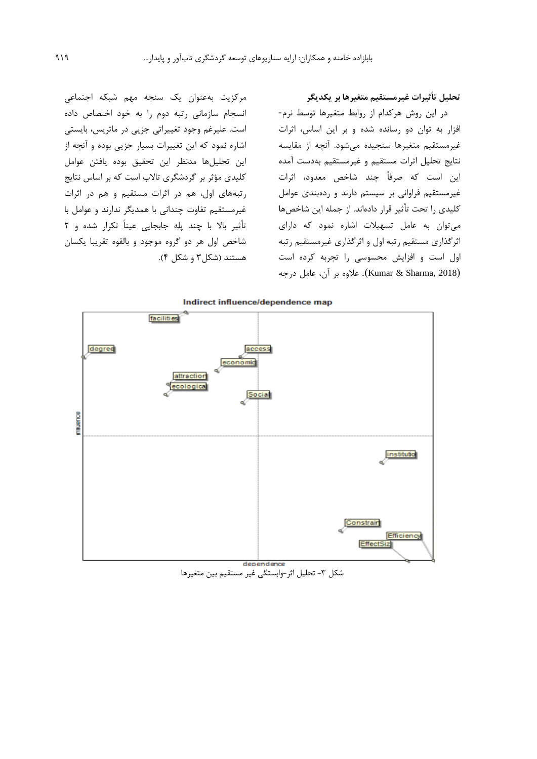مرکزيت بهعنوان يک سنجه مهم شبکه اجتماعی انسجام سازمانی رتبه دوم را به خود اختصاص داده است. علیرغم وجود تغییراتی جزيی در ماتريس، بايستی اشاره نمود که اين تغییرات بسیار جزيی بوده و آنچه از اين تحلیلها مدنظر اين تحقیق بوده يافتن عوامل کلیدي مؤثر بر گردشگري تاالب است که بر اساس نتايج رتبههاي اول، هم در اثرات مستقیم و هم در اثرات غیرمستقیم تفاوت چندانی با همديگر ندارند و عوامل با تأثیر باال با چند پله جابجايی عیناً تکرار شده و 2 شاخص اول هر دو گروه موجود و بالقوه تقريبا يکسان هستند (شکل ۳ و شکل ۴).

**تحليل تأثيرات غيرمستقيم متغيرها بر يکديگر** 

در اين روش هرکدام از روابط متغیرها توسط نرم- افزار به توان دو رسانده شده و بر اين اساس، اثرات غیرمستقیم متغیرها سنجیده میشود. آنچه از مقايسه نتايج تحلیل اثرات مستقیم و غیرمستقیم بهدست آمده اين است که صرفاً چند شاخص معدود، اثرات غیرمستقیم فراوانی بر سیستم دارند و ردهبندي عوامل کلیدي را تحت تأثیر قرار دادهاند. از جمله اين شاخصها میتوان به عامل تسهیالت اشاره نمود که داراي اثرگذاري مستقیم رتبه اول و اثرگذاري غیرمستقیم رتبه اول است و افزايش محسوسی را تجربه کرده است )2018 ,Sharma & Kumar). عالوه بر آن، عامل درجه



شکل ۳- تحلیل اثر-وابستگی غیر مستقیم بین متغیرها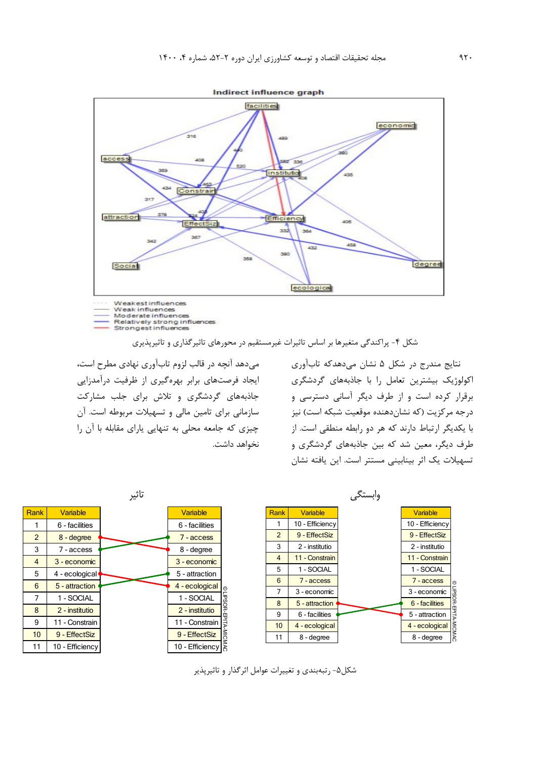

Moderate influences<br>Relatively strong influences<br>Strongest influences

شکل -4 پراکندگی متغیرها بر اساس تاثیرات غیرمستقیم در محورهاي تاثیرگذاري و تاثیرپذيري

میدهد آنچه در قالب لزوم تابآوري نهادي مطرح است، ايجاد فرصتهاي برابر بهرهگیري از ظرفیت درآمدزايی جاذبههاي گردشگري و تالش براي جلب مشارکت سازمانی براي تامین مالی و تسهیالت مربوطه است. آن چیزي که جامعه محلی به تنهايی ياراي مقابله با آن را نخواهد داشت.

نتايج مندرج در شکل 5 نشان میدهدکه تابآوري اکولوژيک بیشترين تعامل را با جاذبههاي گردشگري برقرار کرده است و از طرف ديگر آسانی دسترسی و درجه مرکزيت (که نشاندهنده موقعیت شبکه است) نیز با يکديگر ارتباط دارند که هر دو رابطه منطقی است. از طرف ديگر، معین شد که بین جاذبههاي گردشگري و تسهیالت يک اثر بینابینی مستتر است. اين يافته نشان



شکل-5 رتبهبندي و تغییرات عوامل اثرگذار و تاثیرپذير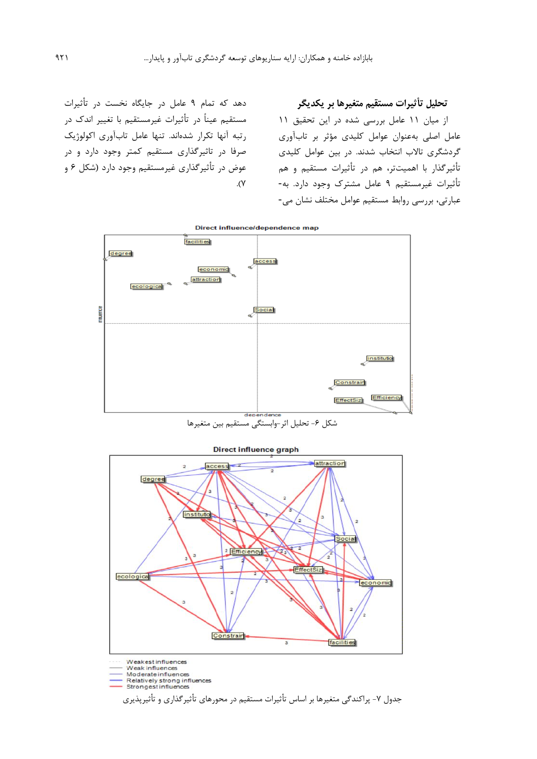دهد که تمام 9 عامل در جايگاه نخست در تأثیرات مستقیم عیناً در تأثیرات غیرمستقیم با تغییر اندك در رتبه آنها تکرار شدهاند. تنها عامل تابآوري اکولوژيک صرفا در تاثیرگذاري مستقیم کمتر وجود دارد و در عوض در تأثیرگذاري غیرمستقیم وجود دارد (شکل ۶ و  $\cdot$  (Y

**تحليل تأثيرات مستقيم متغيرها بر یکدیگر**  از میان 11 عامل بررسی شده در اين تحقیق 11 عامل اصلی بهعنوان عوامل کلیدي مؤثر بر تابآوري گردشگري تاالب انتخاب شدند. در بین عوامل کلیدي تأثیرگذار با اهمیتتر، هم در تأثیرات مستقیم و هم تأثیرات غیرمستقیم 9 عامل مشترك وجود دارد. به- عبارتی، بررسی روابط مستقیم عوامل مختلف نشان می-



Direct influence/dependence map

### Direct influence graph



Weakestinfluences

Weak influences<br>Moderate influences

Relatively strong influences<br>Strongest influences

جدول ۷- پراکندگی متغیرها بر اساس تأثیرات مستقیم در محورهای تأثیرگذاری و تأثیرپذیری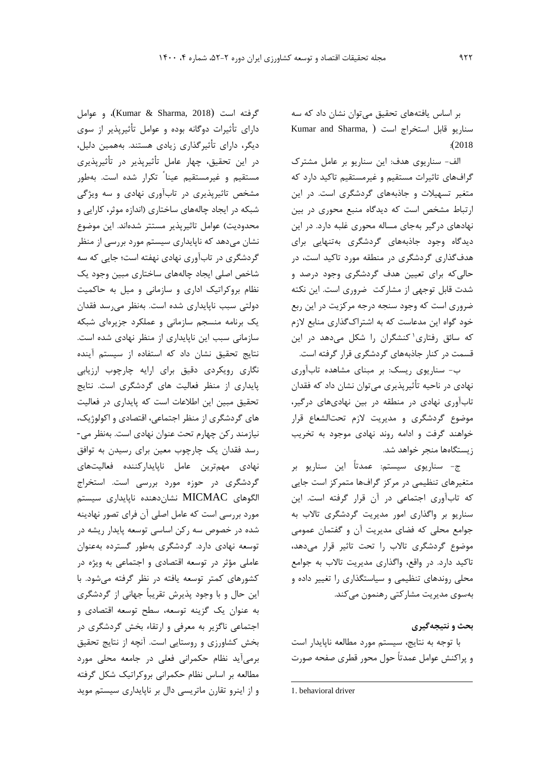بر اساس يافتههاي تحقیق میتوان نشان داد که سه Kumar and Sharma, ) , استخراج است (Kumar and Sharma  $: (2018)$ 

الف- سناريوي هدف: اين سناريو بر عامل مشترك گرافهاي تاثیرات مستقیم و غیرمستقیم تاکید دارد که متغیر تسهیالت و جاذبههاي گردشگري است. در اين ارتباط مشخص است که ديدگاه منبع محوري در بین نهادهاي درگیر بهجاي مساله محوري غلبه دارد. در اين ديدگاه وجود جاذبههاي گردشگري بهتنهايی براي هدفگذاري گردشگري در منطقه مورد تاکید است، در حالیکه براي تعیین هدف گردشگري وجود درصد و شدت قابل توجهی از مشارکت ضروري است. اين نکته ضروري است که وجود سنجه درجه مرکزيت در اين ربع خود گواه اين مدعاست که به اشتراكگذاري منابع الزم که سائق رفتاری'کنشگران را شکل میدهد در اين قسمت در کنار جاذبههاي گردشگري قرار گرفته است.

ب- سناريوي ريسک: بر مبناي مشاهده تابآوري نهادي در ناحیه تأثیرپذيري میتوان نشان داد که فقدان تابآوري نهادي در منطقه در بین نهاديهاي درگیر، موضوع گردشگري و مديريت الزم تحتالشعاع قرار خواهند گرفت و ادامه روند نهادي موجود به تخريب زيستگاهها منجر خواهد شد.

ج- سناريوي سیستم: عمدتاً اين سناريو بر متغیرهاي تنظیمی در مرکز گرافها متمرکز است جايی که تابآوري اجتماعی در آن قرار گرفته است. اين سناريو بر واگذاري امور مديريت گردشگري تاالب به جوامع محلی که فضاي مديريت آن و گفتمان عمومی موضوع گردشگري تاالب را تحت تاثیر قرار میدهد، تاکید دارد. در واقع، واگذاري مديريت تاالب به جوامع محلی روندهاي تنظیمی و سیاستگذاري را تغییر داده و بهسوي مديريت مشارکتی رهنمون میکند.

# **بحث و نتيجهگيري**

با توجه به نتايج، سیستم مورد مطالعه ناپايدار است و پراکنش عوامل عمدتاً حول محور قطري صفحه صورت

 $\overline{\phantom{a}}$ 

گرفته است )2018 ,Sharma & Kumar)، و عوامل داراي تأثیرات دوگانه بوده و عوامل تأثیرپذير از سوي ديگر، داراي تأثیرگذاري زيادي هستند. بههمین دلیل، در اين تحقیق، چهار عامل تأثیرپذير در تأثیرپذيري مستقیم و غیرمستقیم عینا ً تکرار شده است. بهطور مشخص تاثیرپذيري در تابآوري نهادي و سه ويژگی شبکه در ايجاد چالههاي ساختاري )اندازه موثر، کارايی و محدوديت) عوامل تاثيرپذير مستتر شدهاند. اين موضوع نشان میدهد که ناپايداري سیستم مورد بررسی از منظر گردشگري در تابآوري نهادي نهفته است؛ جايی که سه شاخص اصلی ايجاد چالههاي ساختاري مبین وجود يک نظام بروکراتیک اداري و سازمانی و میل به حاکمیت دولتی سبب ناپايداري شده است. بهنظر میرسد فقدان يک برنامه منسجم سازمانی و عملکرد جزيرهاي شبکه سازمانی سبب اين ناپايداري از منظر نهادي شده است. نتايج تحقیق نشان داد که استفاده از سیستم آينده نگاري رويکردي دقیق براي ارايه چارچوب ارزيابی پايداري از منظر فعالیت هاي گردشگري است. نتايج تحقیق مبین اين اطالعات است که پايداري در فعالیت هاي گردشگري از منظر اجتماعی، اقتصادي و اکولوژيک، نیازمند رکن چهارم تحت عنوان نهادي است. بهنظر می- رسد فقدان يک چارچوب معین براي رسیدن به توافق نهادي مهمترين عامل ناپايدارکننده فعالیتهاي گردشگري در حوزه مورد بررسی است. استخراج الگوهاي MICMAC نشاندهنده ناپايداري سیستم مورد بررسی است که عامل اصلی آن فراي تصور نهادينه شده در خصوص سه رکن اساسی توسعه پايدار ريشه در توسعه نهادي دارد. گردشگري بهطور گسترده بهعنوان عاملی مؤثر در توسعه اقتصادي و اجتماعی به ويژه در کشورهاي کمتر توسعه يافته در نظر گرفته میشود. با اين حال و با وجود پذيرش تقريباً جهانی از گردشگري به عنوان يک گزينه توسعه، سطح توسعه اقتصادي و اجتماعی ناگزير به معرفی و ارتقاء بخش گردشگري در بخش کشاورزي و روستايی است. آنچه از نتايج تحقیق برمیآيد نظام حکمرانی فعلی در جامعه محلی مورد مطالعه بر اساس نظام حکمرانی بروکراتیک شکل گرفته و از اينرو تقارن ماتريسی دال بر ناپايداري سیستم مويد

<sup>1.</sup> behavioral driver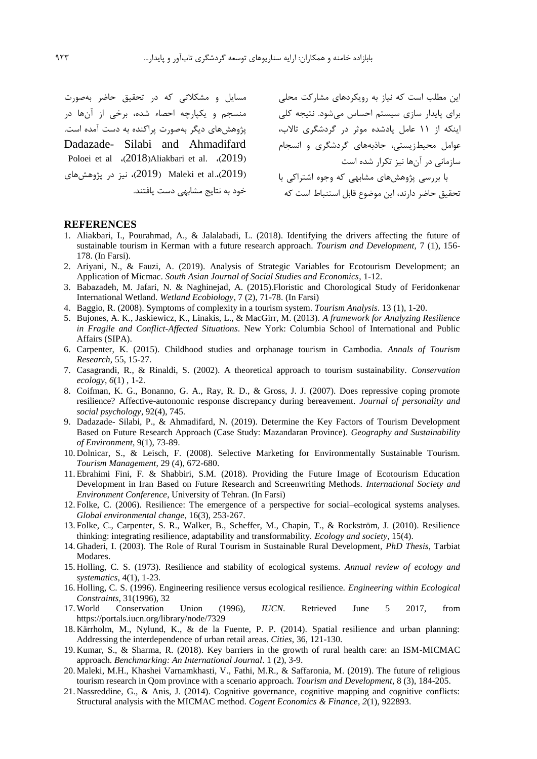مسايل و مشکالتی که در تحقیق حاضر بهصورت منسجم و يکپارچه احصاء شده، برخی از آنها در پژوهشهاي ديگر بهصورت پراکنده به دست آمده است. Dadazade- Silabi and Ahmadifard Poloei et al.  $\langle 2018 \rangle$ Aliakbari et al.  $\langle 2019 \rangle$ ر)، نیز در پژوهشهای (2019)، نیز در پژوهشهای خود به نتايج مشابهی دست يافتند.

اين مطلب است که نیاز به رويکردهاي مشارکت محلی براي پايدار سازي سیستم احساس میشود. نتیجه کلی اينکه از 11 عامل يادشده موثر در گردشگري تاالب، عوامل محیطزيستی، جاذبههاي گردشگري و انسجام سازمانی در آنها نیز تکرار شده است با بررسی پژوهشهاي مشابهی که وجوه اشتراکی با تحقیق حاضر دارند، اين موضوع قابل استنباط است که

#### **REFERENCES**

- 1. Aliakbari, I., Pourahmad, A., & Jalalabadi, L. (2018). Identifying the drivers affecting the future of sustainable tourism in Kerman with a future research approach. *Tourism and Development*, 7 (1), 156- 178. (In Farsi).
- 2. Ariyani, N., & Fauzi, A. (2019). Analysis of Strategic Variables for Ecotourism Development; an Application of Micmac. *South Asian Journal of Social Studies and Economics*, 1-12.
- 3. Babazadeh, M. Jafari, N. & Naghinejad, A. (2015).Floristic and Chorological Study of Feridonkenar International Wetland. *Wetland Ecobiology*, 7 (2), 71-78. (In Farsi)
- 4. Baggio, R. (2008). Symptoms of complexity in a tourism system. *Tourism Analysis*. 13 (1), 1-20.
- 5. Bujones, A. K., Jaskiewicz, K., Linakis, L., & MacGirr, M. (2013). *A framework for Analyzing Resilience in Fragile and Conflict-Affected Situations*. New York: Columbia School of International and Public Affairs (SIPA).
- 6. Carpenter, K. (2015). Childhood studies and orphanage tourism in Cambodia. *Annals of Tourism Research*, 55, 15-27.
- 7. Casagrandi, R., & Rinaldi, S. (2002). A theoretical approach to tourism sustainability. *Conservation ecology*, *6*(1) , 1-2.
- 8. Coifman, K. G., Bonanno, G. A., Ray, R. D., & Gross, J. J. (2007). Does repressive coping promote resilience? Affective-autonomic response discrepancy during bereavement. *Journal of personality and social psychology*, 92(4), 745.
- 9. Dadazade- Silabi, P., & Ahmadifard, N. (2019). Determine the Key Factors of Tourism Development Based on Future Research Approach (Case Study: Mazandaran Province). *Geography and Sustainability of Environment*, 9(1), 73-89.
- 10. Dolnicar, S., & Leisch, F. (2008). Selective Marketing for Environmentally Sustainable Tourism. *Tourism Management*, 29 (4), 672-680.
- 11. Ebrahimi Fini, F. & Shabbiri, S.M. (2018). Providing the Future Image of Ecotourism Education Development in Iran Based on Future Research and Screenwriting Methods. *International Society and Environment Conference*, University of Tehran. (In Farsi)
- 12. Folke, C. (2006). Resilience: The emergence of a perspective for social–ecological systems analyses. *Global environmental change*, 16(3), 253-267.
- 13. Folke, C., Carpenter, S. R., Walker, B., Scheffer, M., Chapin, T., & Rockström, J. (2010). Resilience thinking: integrating resilience, adaptability and transformability. *Ecology and society*, 15(4).
- 14. Ghaderi, I. (2003). The Role of Rural Tourism in Sustainable Rural Development, *PhD Thesis*, Tarbiat Modares.
- 15. Holling, C. S. (1973). Resilience and stability of ecological systems. *Annual review of ecology and systematics*, 4(1), 1-23.
- 16. Holling, C. S. (1996). Engineering resilience versus ecological resilience. *Engineering within Ecological Constraints*, 31(1996), 32
- 17. World Conservation Union (1996), *IUCN*. Retrieved June 5 2017, from https://portals.iucn.org/library/node/7329
- 18. Kärrholm, M., Nylund, K., & de la Fuente, P. P. (2014). Spatial resilience and urban planning: Addressing the interdependence of urban retail areas. *Cities*, 36, 121-130.
- 19. Kumar, S., & Sharma, R. (2018). Key barriers in the growth of rural health care: an ISM-MICMAC approach. *Benchmarking: An International Journal*. 1 (2), 3-9.
- 20. Maleki, M.H., Khashei Varnamkhasti, V., Fathi, M.R., & Saffaronia, M. (2019). The future of religious tourism research in Qom province with a scenario approach. *Tourism and Development,* 8 (3), 184-205.
- 21. Nassreddine, G., & Anis, J. (2014). Cognitive governance, cognitive mapping and cognitive conflicts: Structural analysis with the MICMAC method. *Cogent Economics & Finance*, *2*(1), 922893.